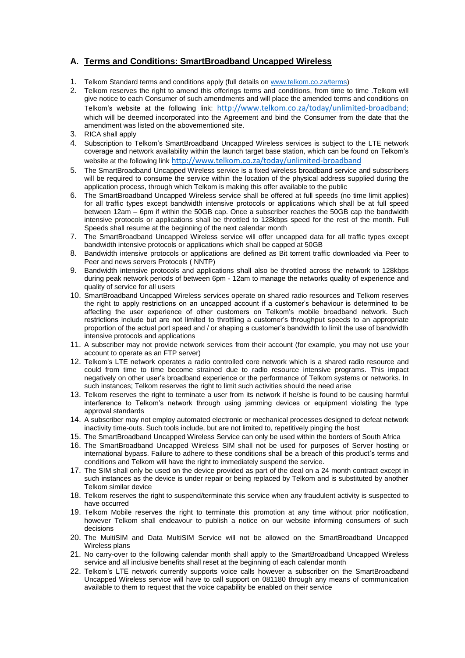# **A. Terms and Conditions: SmartBroadband Uncapped Wireless**

- 1. Telkom Standard terms and conditions apply (full details o[n www.telkom.co.za/terms\)](http://www.telkom.co.za/terms)
- 2. Telkom reserves the right to amend this offerings terms and conditions, from time to time .Telkom will give notice to each Consumer of such amendments and will place the amended terms and conditions on Telkom's website at the following link: <http://www.telkom.co.za/today/unlimited-broadband>; which will be deemed incorporated into the Agreement and bind the Consumer from the date that the amendment was listed on the abovementioned site.
- 3. RICA shall apply
- 4. Subscription to Telkom's SmartBroadband Uncapped Wireless services is subject to the LTE network coverage and network availability within the launch target base station, which can be found on Telkom's website at the following link <http://www.telkom.co.za/today/unlimited-broadband>
- 5. The SmartBroadband Uncapped Wireless service is a fixed wireless broadband service and subscribers will be required to consume the service within the location of the physical address supplied during the application process, through which Telkom is making this offer available to the public
- 6. The SmartBroadband Uncapped Wireless service shall be offered at full speeds (no time limit applies) for all traffic types except bandwidth intensive protocols or applications which shall be at full speed between 12am – 6pm if within the 50GB cap. Once a subscriber reaches the 50GB cap the bandwidth intensive protocols or applications shall be throttled to 128kbps speed for the rest of the month. Full Speeds shall resume at the beginning of the next calendar month
- 7. The SmartBroadband Uncapped Wireless service will offer uncapped data for all traffic types except bandwidth intensive protocols or applications which shall be capped at 50GB
- 8. Bandwidth intensive protocols or applications are defined as Bit torrent traffic downloaded via Peer to Peer and news servers Protocols ( NNTP)
- 9. Bandwidth intensive protocols and applications shall also be throttled across the network to 128kbps during peak network periods of between 6pm - 12am to manage the networks quality of experience and quality of service for all users
- 10. SmartBroadband Uncapped Wireless services operate on shared radio resources and Telkom reserves the right to apply restrictions on an uncapped account if a customer's behaviour is determined to be affecting the user experience of other customers on Telkom's mobile broadband network. Such restrictions include but are not limited to throttling a customer's throughput speeds to an appropriate proportion of the actual port speed and / or shaping a customer's bandwidth to limit the use of bandwidth intensive protocols and applications
- 11. A subscriber may not provide network services from their account (for example, you may not use your account to operate as an FTP server)
- 12. Telkom's LTE network operates a radio controlled core network which is a shared radio resource and could from time to time become strained due to radio resource intensive programs. This impact negatively on other user's broadband experience or the performance of Telkom systems or networks. In such instances; Telkom reserves the right to limit such activities should the need arise
- 13. Telkom reserves the right to terminate a user from its network if he/she is found to be causing harmful interference to Telkom's network through using jamming devices or equipment violating the type approval standards
- 14. A subscriber may not employ automated electronic or mechanical processes designed to defeat network inactivity time-outs. Such tools include, but are not limited to, repetitively pinging the host
- 15. The SmartBroadband Uncapped Wireless Service can only be used within the borders of South Africa
- 16. The SmartBroadband Uncapped Wireless SIM shall not be used for purposes of Server hosting or international bypass. Failure to adhere to these conditions shall be a breach of this product's terms and conditions and Telkom will have the right to immediately suspend the service.
- 17. The SIM shall only be used on the device provided as part of the deal on a 24 month contract except in such instances as the device is under repair or being replaced by Telkom and is substituted by another Telkom similar device
- 18. Telkom reserves the right to suspend/terminate this service when any fraudulent activity is suspected to have occurred
- 19. Telkom Mobile reserves the right to terminate this promotion at any time without prior notification, however Telkom shall endeavour to publish a notice on our website informing consumers of such decisions
- 20. The MultiSIM and Data MultiSIM Service will not be allowed on the SmartBroadband Uncapped Wireless plans
- 21. No carry-over to the following calendar month shall apply to the SmartBroadband Uncapped Wireless service and all inclusive benefits shall reset at the beginning of each calendar month
- 22. Telkom's LTE network currently supports voice calls however a subscriber on the SmartBroadband Uncapped Wireless service will have to call support on 081180 through any means of communication available to them to request that the voice capability be enabled on their service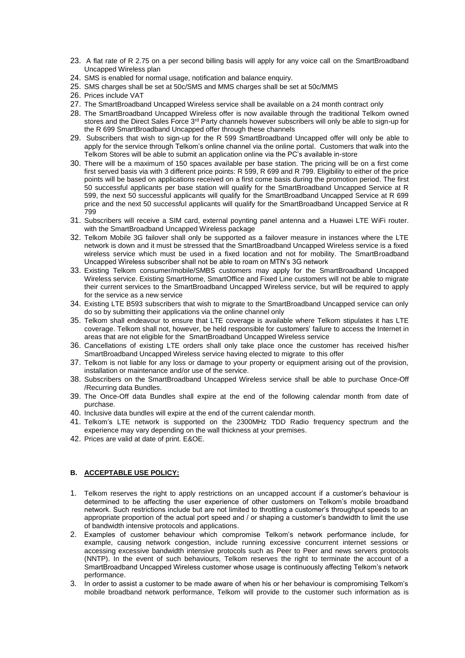- 23. A flat rate of R 2.75 on a per second billing basis will apply for any voice call on the SmartBroadband Uncapped Wireless plan
- 24. SMS is enabled for normal usage, notification and balance enquiry.
- 25. SMS charges shall be set at 50c/SMS and MMS charges shall be set at 50c/MMS
- 26. Prices include VAT
- 27. The SmartBroadband Uncapped Wireless service shall be available on a 24 month contract only
- 28. The SmartBroadband Uncapped Wireless offer is now available through the traditional Telkom owned stores and the Direct Sales Force 3<sup>rd</sup> Party channels however subscribers will only be able to sign-up for the R 699 SmartBroadband Uncapped offer through these channels
- 29. Subscribers that wish to sign-up for the R 599 SmartBroadband Uncapped offer will only be able to apply for the service through Telkom's online channel via the online portal. Customers that walk into the Telkom Stores will be able to submit an application online via the PC's available in-store
- 30. There will be a maximum of 150 spaces available per base station. The pricing will be on a first come first served basis via with 3 different price points: R 599, R 699 and R 799. Eligibility to either of the price points will be based on applications received on a first come basis during the promotion period. The first 50 successful applicants per base station will qualify for the SmartBroadband Uncapped Service at R 599, the next 50 successful applicants will qualify for the SmartBroadband Uncapped Service at R 699 price and the next 50 successful applicants will qualify for the SmartBroadband Uncapped Service at R 799
- 31. Subscribers will receive a SIM card, external poynting panel antenna and a Huawei LTE WiFi router. with the SmartBroadband Uncapped Wireless package
- 32. Telkom Mobile 3G failover shall only be supported as a failover measure in instances where the LTE network is down and it must be stressed that the SmartBroadband Uncapped Wireless service is a fixed wireless service which must be used in a fixed location and not for mobility. The SmartBroadband Uncapped Wireless subscriber shall not be able to roam on MTN's 3G network
- 33. Existing Telkom consumer/mobile/SMBS customers may apply for the SmartBroadband Uncapped Wireless service. Existing SmartHome, SmartOffice and Fixed Line customers will not be able to migrate their current services to the SmartBroadband Uncapped Wireless service, but will be required to apply for the service as a new service
- 34. Existing LTE B593 subscribers that wish to migrate to the SmartBroadband Uncapped service can only do so by submitting their applications via the online channel only
- 35. Telkom shall endeavour to ensure that LTE coverage is available where Telkom stipulates it has LTE coverage. Telkom shall not, however, be held responsible for customers' failure to access the Internet in areas that are not eligible for the SmartBroadband Uncapped Wireless service
- 36. Cancellations of existing LTE orders shall only take place once the customer has received his/her SmartBroadband Uncapped Wireless service having elected to migrate to this offer
- 37. Telkom is not liable for any loss or damage to your property or equipment arising out of the provision, installation or maintenance and/or use of the service.
- 38. Subscribers on the SmartBroadband Uncapped Wireless service shall be able to purchase Once-Off /Recurring data Bundles.
- 39. The Once-Off data Bundles shall expire at the end of the following calendar month from date of purchase.
- 40. Inclusive data bundles will expire at the end of the current calendar month.
- 41. Telkom's LTE network is supported on the 2300MHz TDD Radio frequency spectrum and the experience may vary depending on the wall thickness at your premises.
- 42. Prices are valid at date of print. E&OE.

## **B. ACCEPTABLE USE POLICY:**

- 1. Telkom reserves the right to apply restrictions on an uncapped account if a customer's behaviour is determined to be affecting the user experience of other customers on Telkom's mobile broadband network. Such restrictions include but are not limited to throttling a customer's throughput speeds to an appropriate proportion of the actual port speed and / or shaping a customer's bandwidth to limit the use of bandwidth intensive protocols and applications.
- 2. Examples of customer behaviour which compromise Telkom's network performance include, for example, causing network congestion, include running excessive concurrent internet sessions or accessing excessive bandwidth intensive protocols such as Peer to Peer and news servers protocols (NNTP). In the event of such behaviours, Telkom reserves the right to terminate the account of a SmartBroadband Uncapped Wireless customer whose usage is continuously affecting Telkom's network performance.
- 3. In order to assist a customer to be made aware of when his or her behaviour is compromising Telkom's mobile broadband network performance, Telkom will provide to the customer such information as is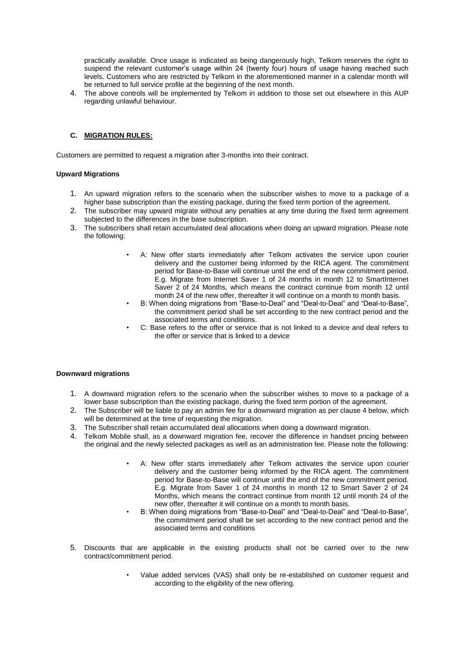practically available. Once usage is indicated as being dangerously high, Telkom reserves the right to suspend the relevant customer's usage within 24 (twenty four) hours of usage having reached such levels. Customers who are restricted by Telkom in the aforementioned manner in a calendar month will be returned to full service profile at the beginning of the next month.

4. The above controls will be implemented by Telkom in addition to those set out elsewhere in this AUP regarding unlawful behaviour.

## **C. MIGRATION RULES:**

Customers are permitted to request a migration after 3-months into their contract.

#### **Upward Migrations**

- 1. An upward migration refers to the scenario when the subscriber wishes to move to a package of a higher base subscription than the existing package, during the fixed term portion of the agreement.
- 2. The subscriber may upward migrate without any penalties at any time during the fixed term agreement subjected to the differences in the base subscription.
- 3. The subscribers shall retain accumulated deal allocations when doing an upward migration. Please note the following:
	- A: New offer starts immediately after Telkom activates the service upon courier delivery and the customer being informed by the RICA agent. The commitment period for Base-to-Base will continue until the end of the new commitment period. E.g. Migrate from Internet Saver 1 of 24 months in month 12 to SmartInternet Saver 2 of 24 Months, which means the contract continue from month 12 until month 24 of the new offer, thereafter it will continue on a month to month basis.
	- B: When doing migrations from "Base-to-Deal" and "Deal-to-Deal" and "Deal-to-Base", the commitment period shall be set according to the new contract period and the associated terms and conditions.
	- C: Base refers to the offer or service that is not linked to a device and deal refers to the offer or service that is linked to a device

#### **Downward migrations**

- 1. A downward migration refers to the scenario when the subscriber wishes to move to a package of a lower base subscription than the existing package, during the fixed term portion of the agreement.
- 2. The Subscriber will be liable to pay an admin fee for a downward migration as per clause 4 below, which will be determined at the time of requesting the migration.
- 3. The Subscriber shall retain accumulated deal allocations when doing a downward migration.
- 4. Telkom Mobile shall, as a downward migration fee, recover the difference in handset pricing between the original and the newly selected packages as well as an administration fee. Please note the following:
	- A: New offer starts immediately after Telkom activates the service upon courier delivery and the customer being informed by the RICA agent. The commitment period for Base-to-Base will continue until the end of the new commitment period. E.g. Migrate from Saver 1 of 24 months in month 12 to Smart Saver 2 of 24 Months, which means the contract continue from month 12 until month 24 of the new offer, thereafter it will continue on a month to month basis.
	- B: When doing migrations from "Base-to-Deal" and "Deal-to-Deal" and "Deal-to-Base", the commitment period shall be set according to the new contract period and the associated terms and conditions
- 5. Discounts that are applicable in the existing products shall not be carried over to the new contract/commitment period.
	- Value added services (VAS) shall only be re-established on customer request and according to the eligibility of the new offering.